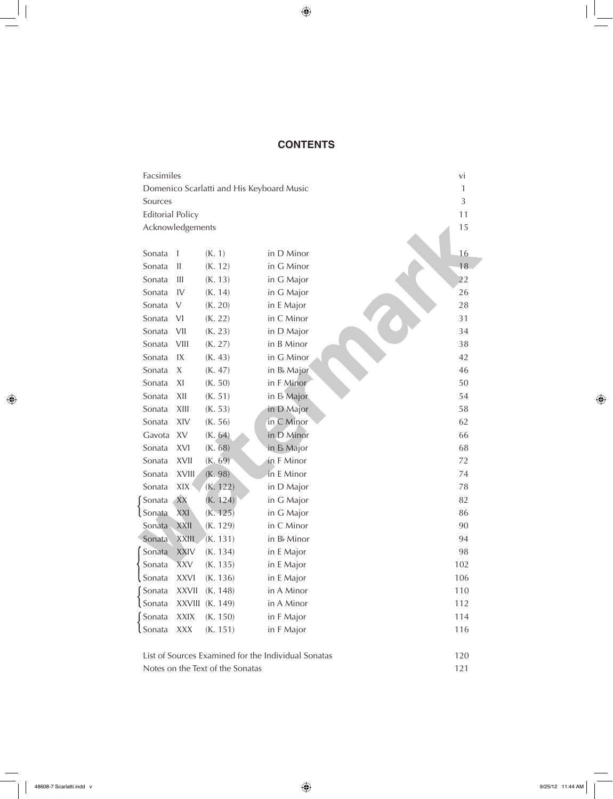## **CONTENTS**

| Facsimiles              |                            |                                           |                         | vi  |
|-------------------------|----------------------------|-------------------------------------------|-------------------------|-----|
|                         |                            | Domenico Scarlatti and His Keyboard Music |                         | 1   |
| Sources                 |                            |                                           |                         | 3   |
| <b>Editorial Policy</b> |                            |                                           |                         | 11  |
| Acknowledgements        |                            |                                           |                         | 15  |
|                         |                            |                                           |                         |     |
| Sonata                  | I                          | (K. 1)                                    | in D Minor              | 16  |
| Sonata                  | $\mathop{\rm II}\nolimits$ | (K. 12)                                   | in G Minor              | 18  |
| Sonata                  | Ш                          | (K. 13)                                   | in G Major              | 22  |
| Sonata                  | IV                         | (K. 14)                                   | in G Major              | 26  |
| Sonata                  | $\vee$                     | (K. 20)                                   | in E Major              | 28  |
| Sonata                  | VI                         | (K. 22)                                   | in C Minor              | 31  |
| Sonata                  | VII                        | (K. 23)                                   | in D Major              | 34  |
| Sonata                  | VIII                       | (K. 27)                                   | in B Minor              | 38  |
| Sonata                  | IX                         | (K. 43)                                   | in G Minor              | 42  |
| Sonata                  | X                          | (K. 47)                                   | in B <sub>b</sub> Major | 46  |
| Sonata                  | XI                         | (K. 50)                                   | in F Minor              | 50  |
| Sonata                  | XII                        | (K. 51)                                   | in El Major             | 54  |
| Sonata                  | XIII                       | (K. 53)                                   | in D-Major              | 58  |
| Sonata                  | XIV                        | (K. 56)                                   | in C Minor              | 62  |
| Gavota                  | XV                         | (K. 64)                                   | in D Minor              | 66  |
| Sonata                  | XVI                        | (K. 68)                                   | in El Major             | 68  |
| Sonata                  | XVII                       | (K. 69)                                   | in F Minor              | 72  |
| Sonata                  | XVIII                      | (K. 98)                                   | in E Minor              | 74  |
| Sonata                  | XIX                        | (K. 122)                                  | in D Major              | 78  |
| Sonata                  | XX                         | (K. 124)                                  | in G Major              | 82  |
| Sonata                  | XXI                        | (K. 125)                                  | in G Major              | 86  |
| Sonata                  | <b>XXII</b>                | (K. 129)                                  | in C Minor              | 90  |
| Sonata                  | <b>XXIII</b>               | (K. 131)                                  | in B <sub>b</sub> Minor | 94  |
| Sonata                  | <b>XXIV</b>                | (K. 134)                                  | in E Major              | 98  |
| Sonata                  | <b>XXV</b>                 | (K. 135)                                  | in E Major              | 102 |
| Sonata                  | <b>XXVI</b>                | (K. 136)                                  | in E Major              | 106 |
| Sonata                  | <b>XXVII</b>               | (K. 148)                                  | in A Minor              | 110 |
| Sonata                  | <b>XXVIII</b>              | (K. 149)                                  | in A Minor              | 112 |
| Sonata                  | <b>XXIX</b>                | (K. 150)                                  | in F Major              | 114 |
| Sonata                  | XXX                        | (K. 151)                                  | in F Major              | 116 |
|                         |                            |                                           |                         |     |

| List of Sources Examined for the Individual Sonatas | 120 |
|-----------------------------------------------------|-----|
| Notes on the Text of the Sonatas                    |     |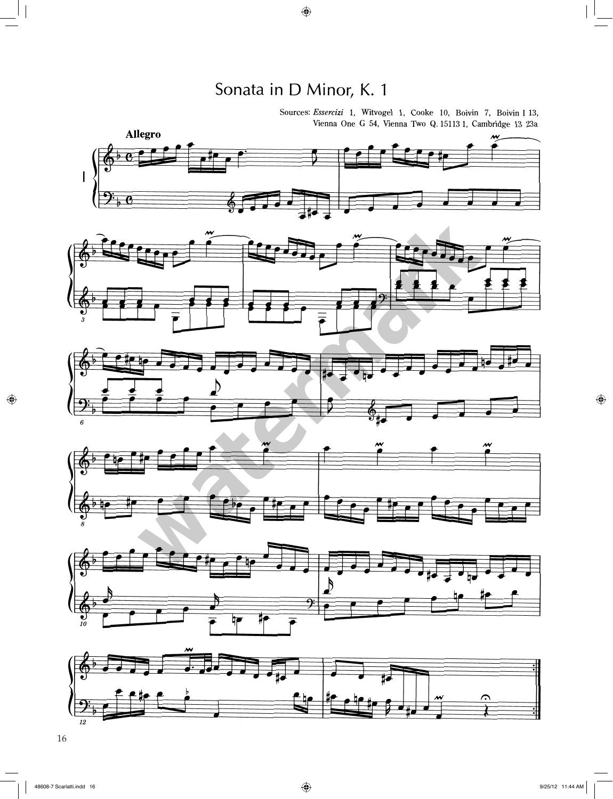## Sonata in D Minor, K. 1

Sources: Essercizi 1, Witvogel 1, Cooke 10, Boivin 7, Boivin I 13, Vienna One G 54, Vienna Two Q 15113 1, Cambridge 13 23a











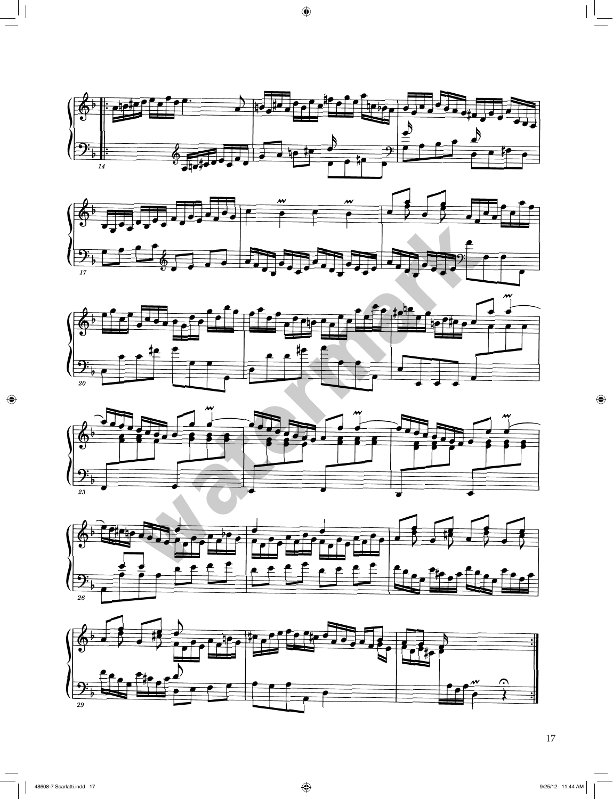









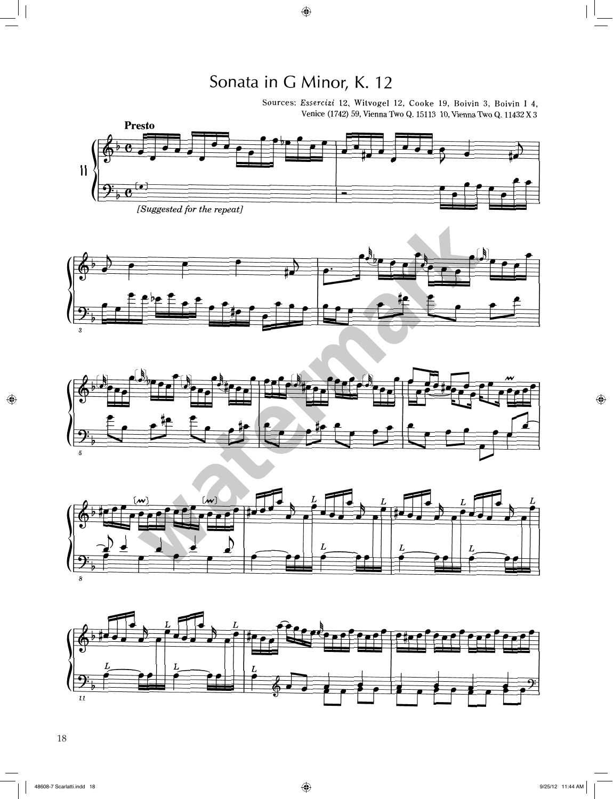## Sonata in G Minor, K. 12

Sources: Essercizi 12, Witvogel 12, Cooke 19, Boivin 3, Boivin I 4, Venice (1742) 59, Vienna Two Q. 15113 10, Vienna Two Q. 11432 X 3









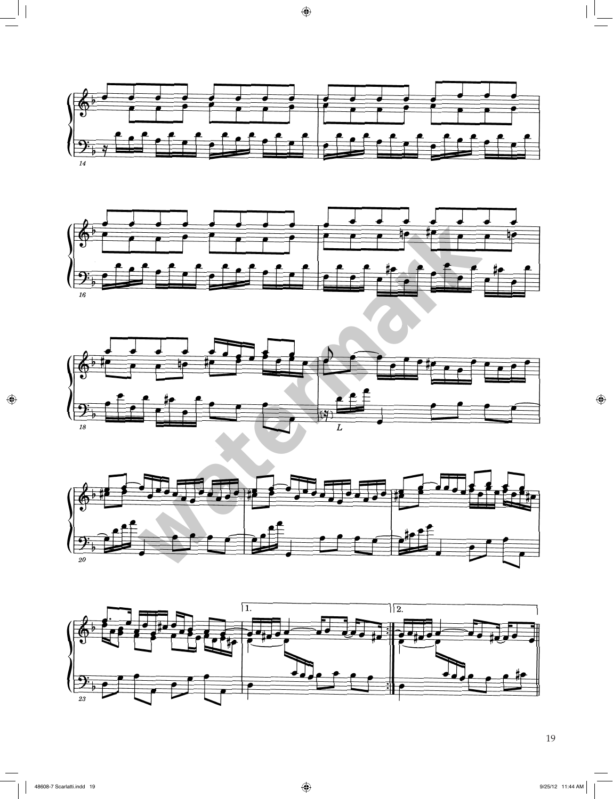







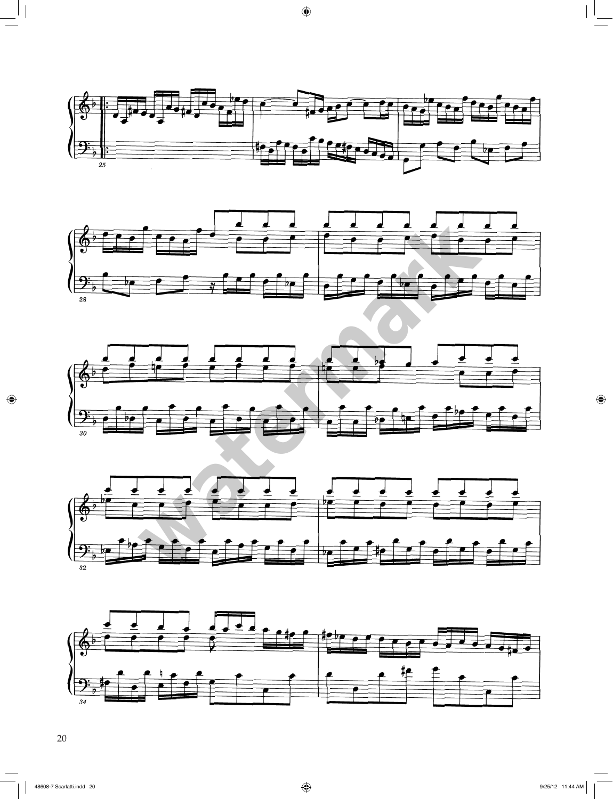